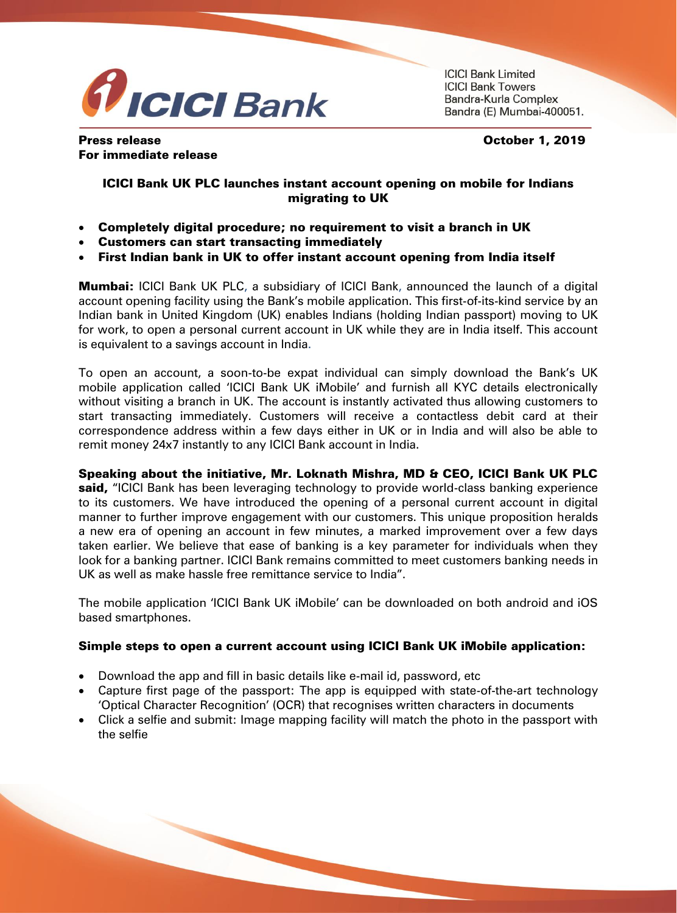

**ICICI Bank Limited ICICI Bank Towers** Bandra-Kurla Complex Bandra (E) Mumbai-400051.

Press release **October 1, 2019** For immediate release

## ICICI Bank UK PLC launches instant account opening on mobile for Indians migrating to UK

- Completely digital procedure; no requirement to visit a branch in UK
- Customers can start transacting immediately
- First Indian bank in UK to offer instant account opening from India itself

**Mumbai:** ICICI Bank UK PLC, a subsidiary of ICICI Bank, announced the launch of a digital account opening facility using the Bank's mobile application. This first-of-its-kind service by an Indian bank in United Kingdom (UK) enables Indians (holding Indian passport) moving to UK for work, to open a personal current account in UK while they are in India itself. This account is equivalent to a savings account in India.

To open an account, a soon-to-be expat individual can simply download the Bank's UK mobile application called 'ICICI Bank UK iMobile' and furnish all KYC details electronically without visiting a branch in UK. The account is instantly activated thus allowing customers to start transacting immediately. Customers will receive a contactless debit card at their correspondence address within a few days either in UK or in India and will also be able to remit money 24x7 instantly to any ICICI Bank account in India.

## Speaking about the initiative, Mr. Loknath Mishra, MD & CEO, ICICI Bank UK PLC

said, "ICICI Bank has been leveraging technology to provide world-class banking experience to its customers. We have introduced the opening of a personal current account in digital manner to further improve engagement with our customers. This unique proposition heralds a new era of opening an account in few minutes, a marked improvement over a few days taken earlier. We believe that ease of banking is a key parameter for individuals when they look for a banking partner. ICICI Bank remains committed to meet customers banking needs in UK as well as make hassle free remittance service to India".

The mobile application 'ICICI Bank UK iMobile' can be downloaded on both android and iOS based smartphones.

## Simple steps to open a current account using ICICI Bank UK iMobile application:

- Download the app and fill in basic details like e-mail id, password, etc
- Capture first page of the passport: The app is equipped with state-of-the-art technology 'Optical Character Recognition' (OCR) that recognises written characters in documents
- Click a selfie and submit: Image mapping facility will match the photo in the passport with the selfie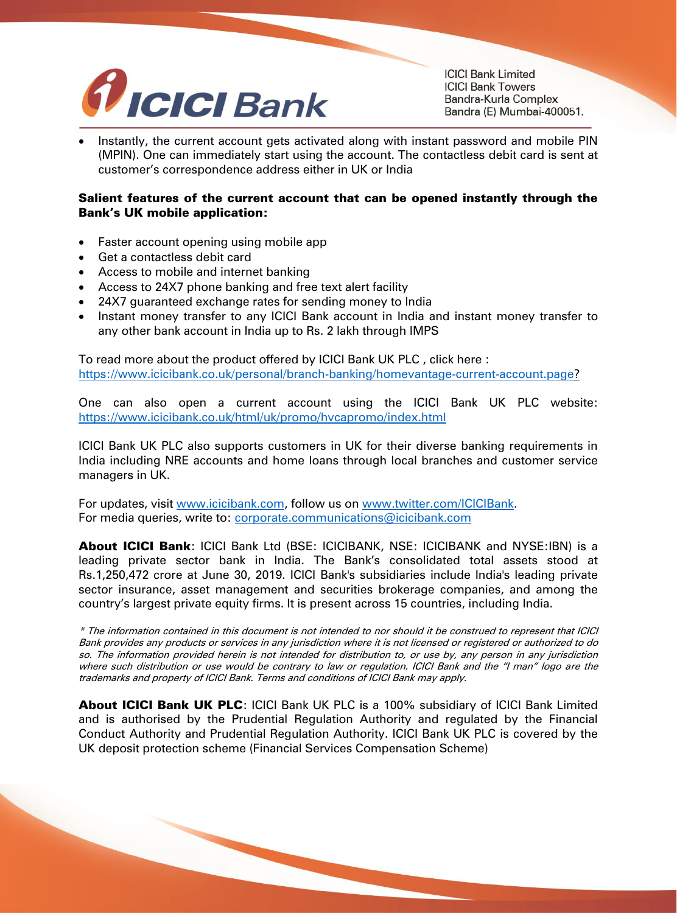

**ICICI Bank Limited ICICI Bank Towers** Bandra-Kurla Complex Bandra (E) Mumbai-400051.

 Instantly, the current account gets activated along with instant password and mobile PIN (MPIN). One can immediately start using the account. The contactless debit card is sent at customer's correspondence address either in UK or India

## Salient features of the current account that can be opened instantly through the Bank's UK mobile application:

- Faster account opening using mobile app
- Get a contactless debit card
- Access to mobile and internet banking
- Access to 24X7 phone banking and free text alert facility
- 24X7 guaranteed exchange rates for sending money to India
- Instant money transfer to any ICICI Bank account in India and instant money transfer to any other bank account in India up to Rs. 2 lakh through IMPS

To read more about the product offered by ICICI Bank UK PLC , click here : [https://www.icicibank.co.uk/personal/branch-banking/homevantage-current-account.page?](https://secure-web.cisco.com/12vxcCCCqgGcKvUeoQMWR_kYX7I00BkOvaQFOJGv-Bn_nTFR-mpj9zkWkn8tugjYNtS4Jpu5lpgvy1ioe-Ikyo91Q-oEoa_03tRJB5a9l-s4VXdAL_Q42wjs09SgSghaK6ocNwlVcxpdiKZmibJrDFZcxPIdmMnvw6LSbtBNbyssEd67fkk6Nvkb57YNSQDSJqqoyZQyFUTg51zZvQsGdN8FaK3lo6MRdFU1uBHS8NqhsZA7Rwp99yY52_lwtVRKzPBssj_8nJ5ds7harXU8MhLqlHM_hoPErFtWPRCmYq3GE3koc5kLFhtpYtnqDuUEDD9sXv-V-v_gb6SxqF0atPg/https%3A%2F%2Fwww.icicibank.co.uk%2Fpersonal%2Fbranch-banking%2Fhomevantage-current-account.page)

One can also open a current account using the ICICI Bank UK PLC website: [https://www.icicibank.co.uk/html/uk/promo/hvcapromo/index.html](https://secure-web.cisco.com/1gPK1b2cIw-2QLm_gwrIfROaYyXQ3dJmkj1NZtJIHPGyV7u5piLrmZHFK8GguGnrLETWg-XdG1j8CdAGD1qoF1UZu6gZbhvi507DuQIPdKuLmJIk9qayYGbPsyK0uL30BMHskF5OnLN5cPzI6wOS46V1fzUAbaYLPQ9vhzajmU4mQLGAEBvYLB_GaYQwN6TsCAc-vb-Qd8RppaSIk85e1ml-VyG917DpyTSxsqJo7UHjT8yTeo6A3oSowbroppnA6-6lCh4_JJAmvr8EWPvWSr3ruGEMyPGeEviiD5KO4Xb98W6r-D3Y4hyJZKJvW2abNbHDSi3bskXqFk4N-Rr65kA/https%3A%2F%2Fwww.icicibank.co.uk%2Fhtml%2Fuk%2Fpromo%2Fhvcapromo%2Findex.html)

ICICI Bank UK PLC also supports customers in UK for their diverse banking requirements in India including NRE accounts and home loans through local branches and customer service managers in UK.

For updates, visit [www.icicibank.com,](http://secure-web.cisco.com/1dKND7Rpk4NpHBMTxmmMk8q01YlwIbVhym_A0SFy-rcNBhBVPOZ33SVzEOC7EYHjH8SlFhashlxavbum1zn0DRmzBP7kQKpDbIGkk8K-kHbWE8xN5Yc32VUtEEQ14ZV0qN67KUfchCgpNE6vuSBfKBIvRJqdzZQK-YNcYgquxkulfQRdttUaZgJCXg0KRZFT7dwOOhVYs5T5szC_2gAVbqtpla8Z5zhStbBM6ojf8OCdVFLaXQrrqXXMOK-XbwfrYRPeEvc2YWovzkPTjQuRSEiAc3N9scFiVbhn_p7mIjGgT0kMXkED2WpSVWecKBv6jJjMgyCNZTCQhcDD3knRQLg/http%3A%2F%2Fwww.icicibank.com) follow us on [www.twitter.com/ICICIBank.](http://secure-web.cisco.com/11fe_dRqqDAq5zU5fhTxU-EklSrOgOyLcKBjGLvfndc_xC5SpYqIPyj_QW8hM6Rddm4IenqEPluPwnx6vUXYO5r8VHPg91fOxbvIkoJ3hCaGLuTQRGj0r-ssp8rxzZGs1yXN8LUI_WgqQBGYhQASaDdfjt366uZkyGdqdkkLMsWiS-0HRBtfLE-0zrmq-LSHFYXwA450YuISO7bmxAyNAC67LUMkERcqY1IRuvzXcZlMMr4BDq4ep3Diivk4yT_r9iTnQ8COMM95ivLUycrS9q-KVrqZ2FizYfdCOZJRV85K3bTg46oIwoIZ_qmEh5x0JnwliNLQ3W7mzEqTty1jVUw/http%3A%2F%2Fwww.twitter.com%2FICICIBank) For media queries, write to: [corporate.communications@icicibank.com](mailto:corporate.communications@icicibank.com)

About ICICI Bank: ICICI Bank Ltd (BSE: ICICIBANK, NSE: ICICIBANK and NYSE:IBN) is a leading private sector bank in India. The Bank's consolidated total assets stood at Rs.1,250,472 crore at June 30, 2019. ICICI Bank's subsidiaries include India's leading private sector insurance, asset management and securities brokerage companies, and among the country's largest private equity firms. It is present across 15 countries, including India.

\* The information contained in this document is not intended to nor should it be construed to represent that ICICI Bank provides any products or services in any jurisdiction where it is not licensed or registered or authorized to do so. The information provided herein is not intended for distribution to, or use by, any person in any jurisdiction where such distribution or use would be contrary to law or regulation. ICICI Bank and the "I man" logo are the trademarks and property of ICICI Bank. Terms and conditions of ICICI Bank may apply.

About ICICI Bank UK PLC: ICICI Bank UK PLC is a 100% subsidiary of ICICI Bank Limited and is authorised by the Prudential Regulation Authority and regulated by the Financial Conduct Authority and Prudential Regulation Authority. ICICI Bank UK PLC is covered by the UK deposit protection scheme (Financial Services Compensation Scheme)